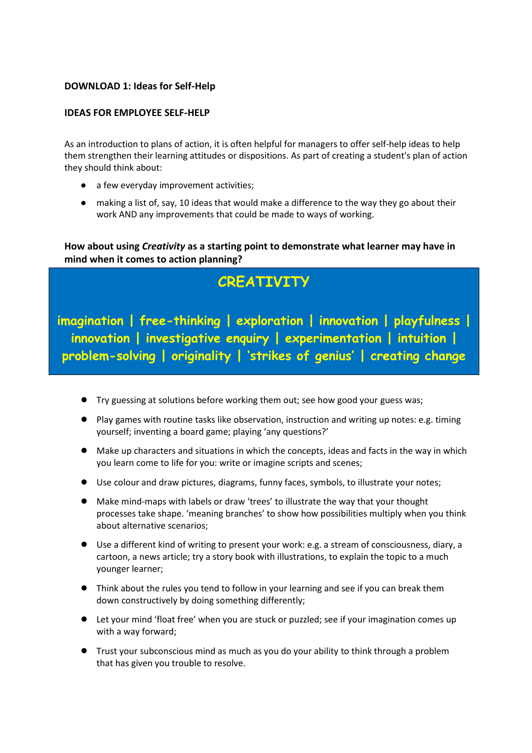# **DOWNLOAD 1: Ideas for Self-Help**

### **IDEAS FOR EMPLOYEE SELF-HELP**

As an introduction to plans of action, it is often helpful for managers to offer self-help ideas to help them strengthen their learning attitudes or dispositions. As part of creating a student's plan of action they should think about:

- a few everyday improvement activities;
- making a list of, say, 10 ideas that would make a difference to the way they go about their work AND any improvements that could be made to ways of working.

**How about using** *Creativity* **as a starting point to demonstrate what learner may have in mind when it comes to action planning?**

# **CREATIVITY**

**Students in the driving seat! Ideas for te problem-solving | originality | 'strikes of genius' | creating changeimagination | free-thinking | exploration | innovation | playfulness | innovation | investigative enquiry | experimentation | intuition |** 

- Try guessing at solutions before working them out; see how good your guess was;
- Play games with routine tasks like observation, instruction and writing up notes: e.g. timing yourself; inventing a board game; playing 'any questions?'
- Make up characters and situations in which the concepts, ideas and facts in the way in which you learn come to life for you: write or imagine scripts and scenes;
- Use colour and draw pictures, diagrams, funny faces, symbols, to illustrate your notes;
- Make mind-maps with labels or draw 'trees' to illustrate the way that your thought processes take shape. 'meaning branches' to show how possibilities multiply when you think about alternative scenarios;
- Use a different kind of writing to present your work: e.g. a stream of consciousness, diary, a cartoon, a news article; try a story book with illustrations, to explain the topic to a much younger learner;
- Think about the rules you tend to follow in your learning and see if you can break them down constructively by doing something differently;
- Let your mind 'float free' when you are stuck or puzzled; see if your imagination comes up with a way forward;
- Trust your subconscious mind as much as you do your ability to think through a problem that has given you trouble to resolve.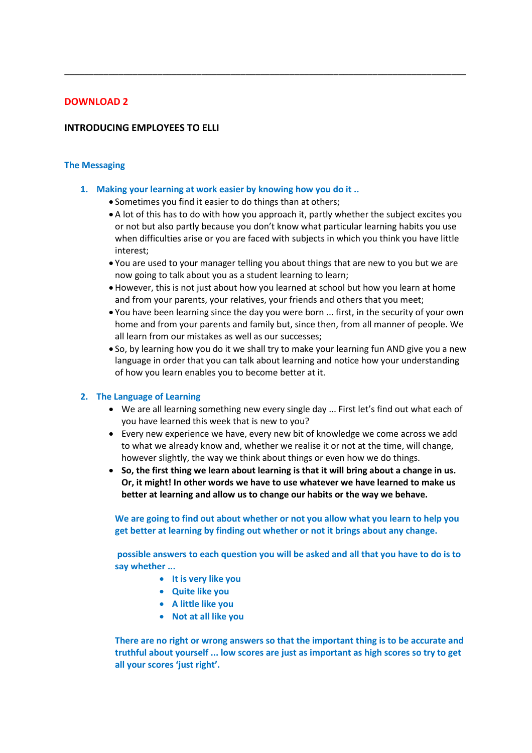### **DOWNLOAD 2**

### **INTRODUCING EMPLOYEES TO ELLI**

### **The Messaging**

### **1. Making your learning at work easier by knowing how you do it ..**

- Sometimes you find it easier to do things than at others;
- A lot of this has to do with how you approach it, partly whether the subject excites you or not but also partly because you don't know what particular learning habits you use when difficulties arise or you are faced with subjects in which you think you have little interest;

\_\_\_\_\_\_\_\_\_\_\_\_\_\_\_\_\_\_\_\_\_\_\_\_\_\_\_\_\_\_\_\_\_\_\_\_\_\_\_\_\_\_\_\_\_\_\_\_\_\_\_\_\_\_\_\_\_\_\_\_\_\_\_\_\_\_\_\_\_\_\_\_\_\_\_\_\_\_\_\_\_\_

- You are used to your manager telling you about things that are new to you but we are now going to talk about you as a student learning to learn;
- However, this is not just about how you learned at school but how you learn at home and from your parents, your relatives, your friends and others that you meet;
- You have been learning since the day you were born ... first, in the security of your own home and from your parents and family but, since then, from all manner of people. We all learn from our mistakes as well as our successes;
- So, by learning how you do it we shall try to make your learning fun AND give you a new language in order that you can talk about learning and notice how your understanding of how you learn enables you to become better at it.

### **2. The Language of Learning**

- We are all learning something new every single day ... First let's find out what each of you have learned this week that is new to you?
- Every new experience we have, every new bit of knowledge we come across we add to what we already know and, whether we realise it or not at the time, will change, however slightly, the way we think about things or even how we do things.
- **So, the first thing we learn about learning is that it will bring about a change in us. Or, it might! In other words we have to use whatever we have learned to make us better at learning and allow us to change our habits or the way we behave.**

**We are going to find out about whether or not you allow what you learn to help you get better at learning by finding out whether or not it brings about any change.**

**possible answers to each question you will be asked and all that you have to do is to say whether ...**

- **It is very like you**
- **Quite like you**
- **A little like you**
- **Not at all like you**

**There are no right or wrong answers so that the important thing is to be accurate and truthful about yourself ... low scores are just as important as high scores so try to get all your scores 'just right'.**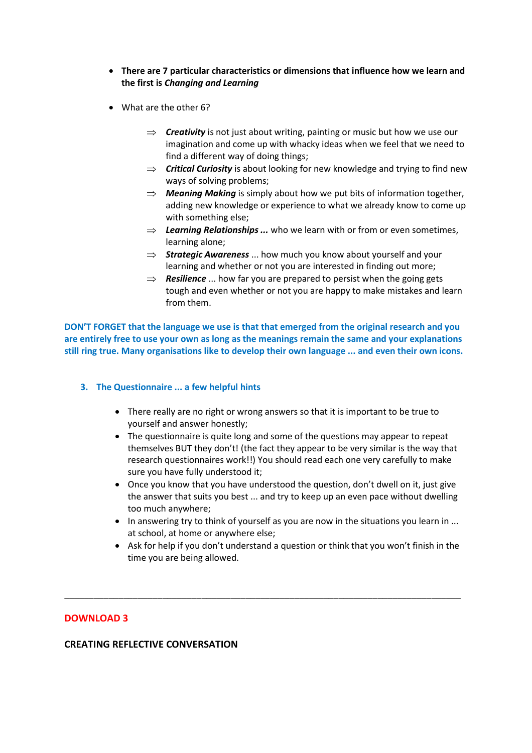- **There are 7 particular characteristics or dimensions that influence how we learn and the first is** *Changing and Learning*
- What are the other 6?
	- $\Rightarrow$  **Creativity** is not just about writing, painting or music but how we use our imagination and come up with whacky ideas when we feel that we need to find a different way of doing things;
	- *Critical Curiosity* is about looking for new knowledge and trying to find new ways of solving problems;
	- $\Rightarrow$  **Meaning Making** is simply about how we put bits of information together, adding new knowledge or experience to what we already know to come up with something else;
	- $\Rightarrow$  Learning Relationships ... who we learn with or from or even sometimes, learning alone;
	- $\Rightarrow$  **Strategic Awareness** ... how much you know about yourself and your learning and whether or not you are interested in finding out more;
	- $\Rightarrow$  **Resilience** ... how far you are prepared to persist when the going gets tough and even whether or not you are happy to make mistakes and learn from them.

**DON'T FORGET that the language we use is that that emerged from the original research and you are entirely free to use your own as long as the meanings remain the same and your explanations still ring true. Many organisations like to develop their own language ... and even their own icons.**

### **3. The Questionnaire ... a few helpful hints**

- There really are no right or wrong answers so that it is important to be true to yourself and answer honestly;
- The questionnaire is quite long and some of the questions may appear to repeat themselves BUT they don't! (the fact they appear to be very similar is the way that research questionnaires work!!) You should read each one very carefully to make sure you have fully understood it;
- Once you know that you have understood the question, don't dwell on it, just give the answer that suits you best ... and try to keep up an even pace without dwelling too much anywhere;
- In answering try to think of yourself as you are now in the situations you learn in ... at school, at home or anywhere else;
- Ask for help if you don't understand a question or think that you won't finish in the time you are being allowed.

\_\_\_\_\_\_\_\_\_\_\_\_\_\_\_\_\_\_\_\_\_\_\_\_\_\_\_\_\_\_\_\_\_\_\_\_\_\_\_\_\_\_\_\_\_\_\_\_\_\_\_\_\_\_\_\_\_\_\_\_\_\_\_\_\_\_\_\_\_\_\_\_\_\_\_\_\_\_\_\_\_

# **DOWNLOAD 3**

### **CREATING REFLECTIVE CONVERSATION**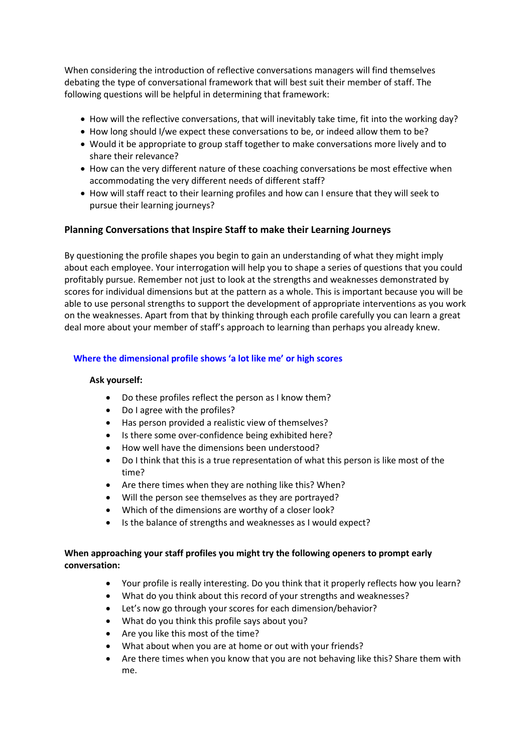When considering the introduction of reflective conversations managers will find themselves debating the type of conversational framework that will best suit their member of staff. The following questions will be helpful in determining that framework:

- How will the reflective conversations, that will inevitably take time, fit into the working day?
- How long should I/we expect these conversations to be, or indeed allow them to be?
- Would it be appropriate to group staff together to make conversations more lively and to share their relevance?
- How can the very different nature of these coaching conversations be most effective when accommodating the very different needs of different staff?
- How will staff react to their learning profiles and how can I ensure that they will seek to pursue their learning journeys?

# **Planning Conversations that Inspire Staff to make their Learning Journeys**

By questioning the profile shapes you begin to gain an understanding of what they might imply about each employee. Your interrogation will help you to shape a series of questions that you could profitably pursue. Remember not just to look at the strengths and weaknesses demonstrated by scores for individual dimensions but at the pattern as a whole. This is important because you will be able to use personal strengths to support the development of appropriate interventions as you work on the weaknesses. Apart from that by thinking through each profile carefully you can learn a great deal more about your member of staff's approach to learning than perhaps you already knew.

# **Where the dimensional profile shows 'a lot like me' or high scores**

### **Ask yourself:**

- Do these profiles reflect the person as I know them?
- Do I agree with the profiles?
- Has person provided a realistic view of themselves?
- Is there some over-confidence being exhibited here?
- How well have the dimensions been understood?
- Do I think that this is a true representation of what this person is like most of the time?
- Are there times when they are nothing like this? When?
- Will the person see themselves as they are portrayed?
- Which of the dimensions are worthy of a closer look?
- Is the balance of strengths and weaknesses as I would expect?

# **When approaching your staff profiles you might try the following openers to prompt early conversation:**

- Your profile is really interesting. Do you think that it properly reflects how you learn?
- What do you think about this record of your strengths and weaknesses?
- Let's now go through your scores for each dimension/behavior?
- What do you think this profile says about you?
- Are you like this most of the time?
- What about when you are at home or out with your friends?
- Are there times when you know that you are not behaving like this? Share them with me.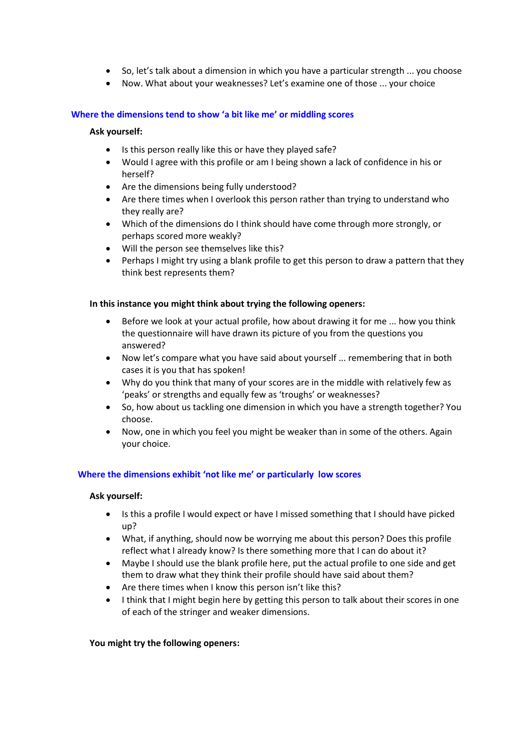- So, let's talk about a dimension in which you have a particular strength ... you choose
- Now. What about your weaknesses? Let's examine one of those ... your choice

### **Where the dimensions tend to show 'a bit like me' or middling scores**

### **Ask yourself:**

- Is this person really like this or have they played safe?
- Would I agree with this profile or am I being shown a lack of confidence in his or herself?
- Are the dimensions being fully understood?
- Are there times when I overlook this person rather than trying to understand who they really are?
- Which of the dimensions do I think should have come through more strongly, or perhaps scored more weakly?
- Will the person see themselves like this?
- Perhaps I might try using a blank profile to get this person to draw a pattern that they think best represents them?

### **In this instance you might think about trying the following openers:**

- Before we look at your actual profile, how about drawing it for me ... how you think the questionnaire will have drawn its picture of you from the questions you answered?
- Now let's compare what you have said about yourself ... remembering that in both cases it is you that has spoken!
- Why do you think that many of your scores are in the middle with relatively few as 'peaks' or strengths and equally few as 'troughs' or weaknesses?
- So, how about us tackling one dimension in which you have a strength together? You choose.
- Now, one in which you feel you might be weaker than in some of the others. Again your choice.

### **Where the dimensions exhibit 'not like me' or particularly low scores**

### **Ask yourself:**

- Is this a profile I would expect or have I missed something that I should have picked up?
- What, if anything, should now be worrying me about this person? Does this profile reflect what I already know? Is there something more that I can do about it?
- Maybe I should use the blank profile here, put the actual profile to one side and get them to draw what they think their profile should have said about them?
- Are there times when I know this person isn't like this?
- I think that I might begin here by getting this person to talk about their scores in one of each of the stringer and weaker dimensions.

### **You might try the following openers:**